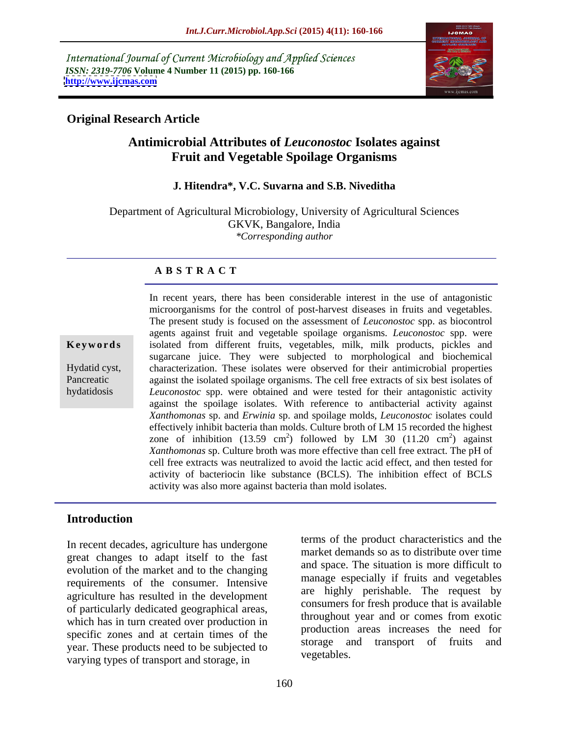International Journal of Current Microbiology and Applied Sciences *ISSN: 2319-7706* **Volume 4 Number 11 (2015) pp. 160-166 <http://www.ijcmas.com>**



## **Original Research Article**

# **Antimicrobial Attributes of** *Leuconostoc* **Isolates against Fruit and Vegetable Spoilage Organisms**

#### **J. Hitendra\*, V.C. Suvarna and S.B. Niveditha**

Department of Agricultural Microbiology, University of Agricultural Sciences GKVK, Bangalore, India *\*Corresponding author*

### **A B S T R A C T**

hydatidosis

In recent years, there has been considerable interest in the use of antagonistic microorganisms for the control of post-harvest diseases in fruits and vegetables. The present study is focused on the assessment of *Leuconostoc* spp. as biocontrol agents against fruit and vegetable spoilage organisms. *Leuconostoc* spp. were **Keywords** isolated from different fruits, vegetables, milk, milk products, pickles and sugarcane juice. They were subjected to morphological and biochemical characterization. These isolates were observed for their antimicrobial properties Hydatid cyst, Pancreatic against the isolated spoilage organisms. The cell free extracts of six best isolates of *Leuconostoc* spp. were obtained and were tested for their antagonistic activity against the spoilage isolates. With reference to antibacterial activity against *Xanthomonas* sp. and *Erwinia* sp. and spoilage molds, *Leuconostoc* isolates could effectively inhibit bacteria than molds. Culture broth of LM 15 recorded the highest zone of inhibition (13.59 cm<sup>2</sup>) followed by LM 30 (11.20 cm<sup>2</sup>) against ) against *Xanthomonas* sp. Culture broth was more effective than cell free extract. The pH of cell free extracts was neutralized to avoid the lactic acid effect, and then tested for activity of bacteriocin like substance (BCLS). The inhibition effect of BCLS activity was also more against bacteria than mold isolates.

# **Introduction**

In recent decades, agriculture has undergone great changes to adapt itself to the fast evolution of the market and to the changing requirements of the consumer. Intensive agriculture has resulted in the development of particularly dedicated geographical areas, which has in turn created over production in specific zones and at certain times of the year. These products need to be subjected to<br>vegetables. varying types of transport and storage, in

terms of the product characteristics and the market demands so as to distribute over time and space. The situation is more difficult to manage especially if fruits and vegetables are highly perishable. The request by consumers for fresh produce that is available throughout year and or comes from exotic production areas increases the need for storage and transport of fruits and vegetables.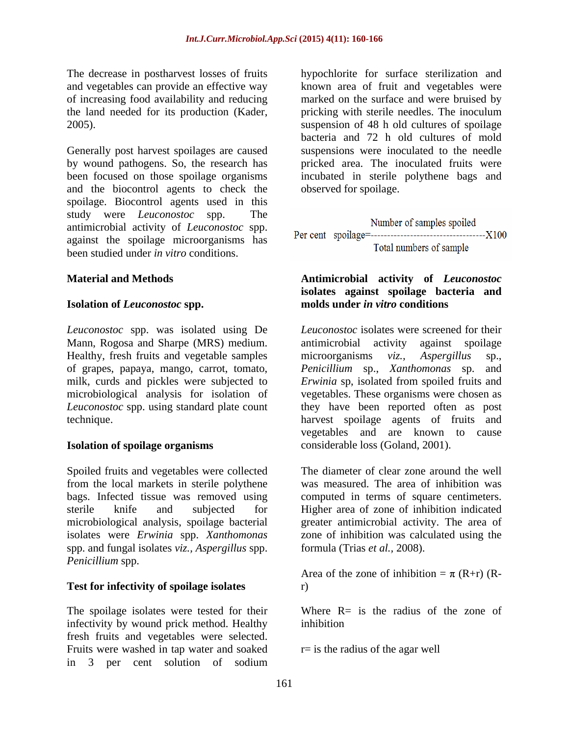The decrease in postharvest losses of fruits hypochlorite for surface sterilization and and vegetables can provide an effective way of increasing food availability and reducing

Generally post harvest spoilages are caused and the biocontrol agents to check the observed for spoilage. spoilage. Biocontrol agents used in this study were *Leuconostoc* spp. The Number of samples spoiled against the spoilage microorganisms has been studied under *in vitro* conditions.

#### **Isolation of** *Leuconostoc* **spp.**

*Leuconostoc* spp. was isolated using De of grapes, papaya, mango, carrot, tomato,

Spoiled fruits and vegetables were collected from the local markets in sterile polythene bags. Infected tissue was removed using computed in terms of square centimeters. sterile knife and subjected for Higher area of zone of inhibition indicated microbiological analysis, spoilage bacterial isolates were *Erwinia* spp. *Xanthomonas*  spp. and fungal isolates *viz., Aspergillus* spp. *Penicillium* spp.

#### **Test for infectivity of spoilage isolates**

The spoilage isolates were tested for their infectivity by wound prick method. Healthy fresh fruits and vegetables were selected. Fruits were washed in tap water and soaked in 3 per cent solution of sodium

the land needed for its production (Kader, pricking with sterile needles. The inoculum 2005). suspension of 48 h old cultures of spoilage by wound pathogens. So, the research has pricked area. The inoculated fruits were been focused on those spoilage organisms incubated in sterile polythene bags and known area of fruit and vegetables were marked on the surface and were bruised by bacteria and 72 h old cultures of mold suspensions were inoculated to the needle observed for spoilage.

antimicrobial activity of *Leuconostoc* spp.

#### **Material and Methods Antimicrobial activity of** *Leuconostoc* **isolates against spoilage bacteria and molds under** *in vitro* **conditions**

Mann, Rogosa and Sharpe (MRS) medium. antimicrobial activity against spoilage Healthy, fresh fruits and vegetable samples microorganisms *viz.*, Aspergillus sp., milk, curds and pickles were subjected to *Erwinia* sp, isolated from spoiled fruits and microbiological analysis for isolation of vegetables. These organisms were chosen as *Leuconostoc* spp. using standard plate count they have been reported often as post technique. harvest spoilage agents of fruits and **Isolation of spoilage organisms** considerable loss (Goland, 2001). *Leuconostoc* isolates were screened for their antimicrobial activity against spoilage microorganisms *viz., Aspergillus* sp., *Penicillium* sp., *Xanthomonas* sp. vegetables and are known to cause

> The diameter of clear zone around the well was measured. The area of inhibition was greater antimicrobial activity. The area of zone of inhibition was calculated using the formula (Trias *et al.,* 2008).

Area of the zone of inhibition =  $\pi$  (R+r) (Rr)

Where  $R=$  is the radius of the zone of inhibition

 $r=$  is the radius of the agar well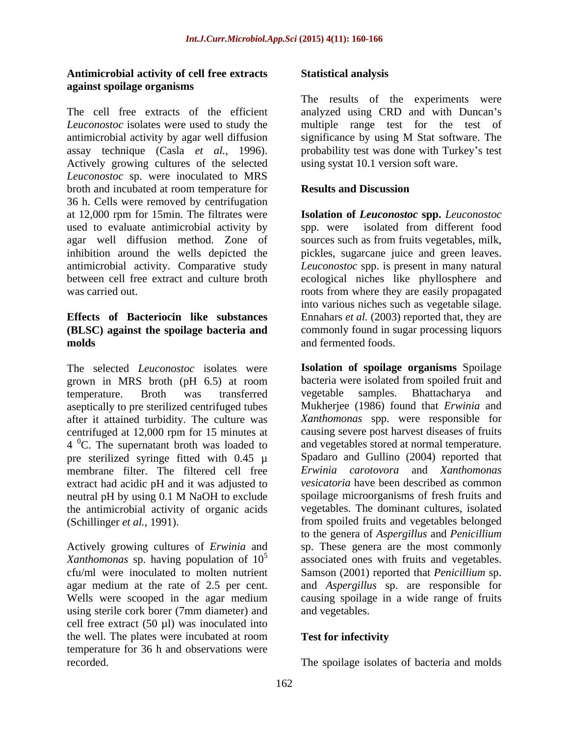#### **Antimicrobial activity of cell free extracts against spoilage organisms**

The cell free extracts of the efficient analyzed using CRD and with Duncan's *Leuconostoc* isolates were used to study the multiple range test for the test of antimicrobial activity by agar well diffusion significance by using M Stat software. The assay technique (Casla *et al.*, 1996). probability test was done with Turkey's test Actively growing cultures of the selected *Leuconostoc* sp. were inoculated to MRS broth and incubated at room temperature for **Results and Discussion** 36 h. Cells were removed by centrifugation at 12,000 rpm for 15min. The filtrates were **Isolation of** *Leuconostoc* **spp.** *Leuconostoc* used to evaluate antimicrobial activity by spp. were isolated from different food agar well diffusion method. Zone of sources such as from fruits vegetables, milk, inhibition around the wells depicted the pickles, sugarcane juice and green leaves. antimicrobial activity. Comparative study *Leuconostoc* spp. is present in many natural between cell free extract and culture broth ecological niches like phyllosphere and was carried out. The roots from where they are easily propagated

The selected *Leuconostoc* isolates were grown in MRS broth (pH 6.5) at room bacteria were isolated from spoiled fru<br>temperature. Broth was transferred vegetable samples. Bhattacharya aseptically to pre sterilized centrifuged tubes after it attained turbidity. The culture was centrifuged at 12,000 rpm for 15 minutes at  $4<sup>0</sup>C$ . The supernatant broth was loaded to pre sterilized syringe fitted with 0.45 µ membrane filter. The filtered cell free extract had acidic pH and it was adjusted to the antimicrobial activity of organic acids

Actively growing cultures of *Erwinia* and using sterile cork borer (7mm diameter) and cell free extract  $(50 \text{ µl})$  was inoculated into the well. The plates were incubated at room Test for infectivity temperature for 36 h and observations were recorded. The spoilage isolates of bacteria and molds

### **Statistical analysis**

The results of the experiments were using systat 10.1 version soft ware.

## **Results and Discussion**

**Effects of Bacteriocin like substances** Ennahars *et al.* (2003) reported that, they are **(BLSC) against the spoilage bacteria and** commonly found in sugar processing liquors **molds** and fermented foods. into various niches such as vegetable silage. and fermented foods.

temperature. Broth was transferred neutral pH by using 0.1 M NaOH to exclude spoilage microorganisms of fresh fruits and (Schillinger *et al.,* 1991). from spoiled fruits and vegetables belonged Xanthomonas sp. having population of 10<sup>5</sup> associated ones with fruits and vegetables. cfu/ml were inoculated to molten nutrient Samson (2001) reported that *Penicillium* sp. agar medium at the rate of 2.5 per cent. and *Aspergillus* sp.are responsible for Wells were scooped in the agar medium causing spoilage in a wide range of fruits **Isolation of spoilage organisms** Spoilage bacteria were isolated from spoiled fruit and vegetable samples. Bhattacharya and Mukherjee (1986) found that *Erwinia* and *Xanthomonas* spp. were responsible for causing severe post harvest diseases of fruits and vegetables stored at normal temperature. Spadaro and Gullino (2004) reported that *Erwinia carotovora* and *Xanthomonas vesicatoria* have been described as common spoilage microorganisms of fresh fruits and vegetables. The dominant cultures, isolated to the genera of *Aspergillus* and *Penicillium* sp. These genera are the most commonly and vegetables.

## **Test for infectivity**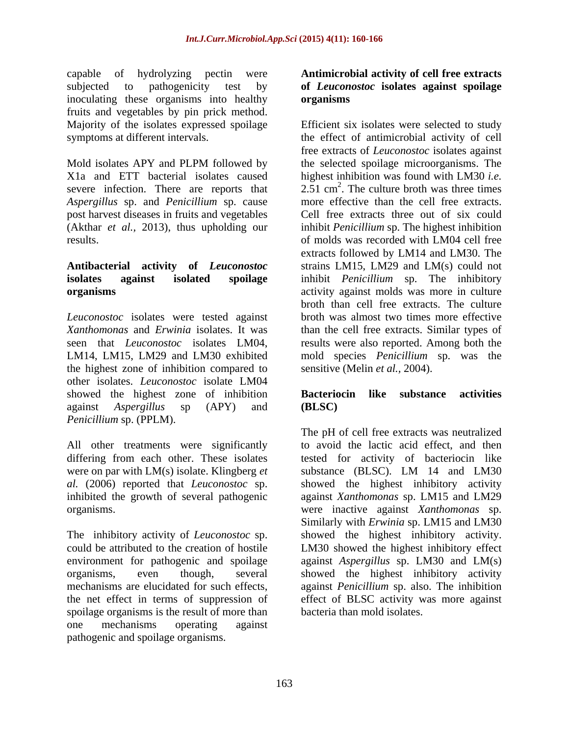capable of hydrolyzing pectin were **Antimicrobial activity of cell free extracts** subjected to pathogenicity test by **of** *Leuconostoc* **isolates against spoilage** inoculating these organisms into healthy **organisms** fruits and vegetables by pin prick method.

severe infection. There are reports that *Aspergillus* sp. and *Penicillium* sp. cause post harvest diseases in fruits and vegetables

# **Antibacterial activity of** *Leuconostoc*

*Leuconostoc* isolates were tested against the highest zone of inhibition compared to other isolates. *Leuconostoc* isolate LM04 showed the highest zone of inhibition **Bacteriocin like substance activities** against *Aspergillus* sp (APY) and *Penicillium* sp. (PPLM).

differing from each other. These isolates were on par with LM(s) isolate. Klingberg *et* substance (BLSC). LM 14 and LM30

The inhibitory activity of *Leuconostoc* sp. spoilage organisms is the result of more than one mechanisms operating against pathogenic and spoilage organisms.

# **organisms**

Majority of the isolates expressed spoilage Efficient six isolates were selected to study symptoms at different intervals. the effect of antimicrobial activity of cell Mold isolates APY and PLPM followed by the selected spoilage microorganisms. The X1a and ETT bacterial isolates caused highest inhibition was found with LM30 *i.e.* (Akthar *et al.,* 2013), thus upholding our inhibit *Penicillium* sp. The highest inhibition results. of molds was recorded with LM04 cell free **isolates against isolated spoilage** inhibit *Penicillium* sp. The inhibitory **organisms** activity against molds was more in culture *Xanthomonas* and *Erwinia* isolates. It was than the cell free extracts. Similar types of seen that *Leuconostoc* isolates LM04, results were also reported. Among both the LM14, LM15, LM29 and LM30 exhibited mold species *Penicillium* sp. was the free extracts of *Leuconostoc* isolates against the selected spoilage microorganisms. The  $2.51 \text{ cm}^2$ . The culture broth was three times more effective than the cell free extracts. Cell free extracts three out of six could extracts followed by LM14 and LM30. The strains LM15, LM29 and LM(s) could not broth than cell free extracts. The culture broth was almost two times more effective sensitive (Melin *et al.,* 2004).

## **Bacteriocin like substance activities (BLSC)**

All other treatments were significantly to avoid the lactic acid effect, and then *al.* (2006) reported that *Leuconostoc* sp. showed the highest inhibitory activity inhibited the growth of several pathogenic against *Xanthomonas* sp. LM15 and LM29 organisms. were inactive against *Xanthomonas* sp. could be attributed to the creation of hostile LM30 showed the highest inhibitory effect environment for pathogenic and spoilage against *Aspergillus* sp. LM30 and LM(s) organisms, even though, several showed the highest inhibitory activity mechanisms are elucidated for such effects, against *Penicillium* sp. also. The inhibition the net effect in terms of suppression of effect of BLSC activity was more against The pH of cell free extracts was neutralized tested for activity of bacteriocin like substance (BLSC). LM 14 and LM30 Similarly with *Erwinia* sp. LM15 and LM30 showed the highest inhibitory activity. bacteria than mold isolates.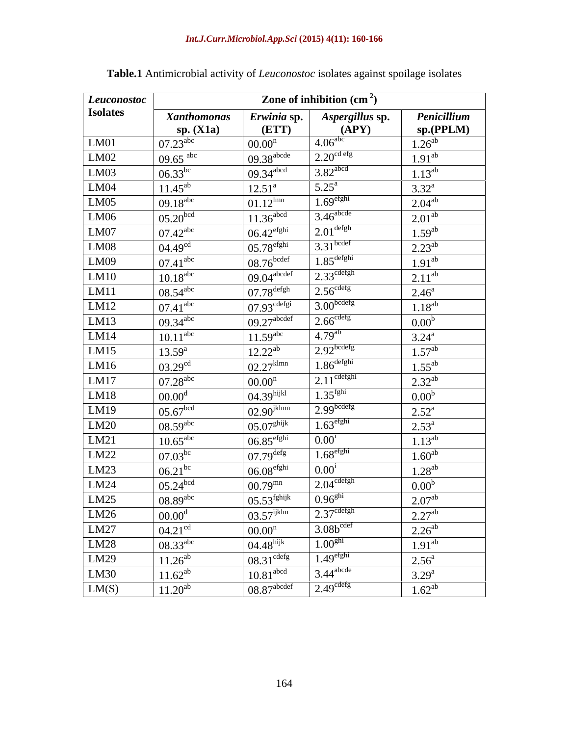| Leuconostoc                       |                        |                           | Zone of inhibition $\text{cm}^2$ ) |                    |
|-----------------------------------|------------------------|---------------------------|------------------------------------|--------------------|
| <b>Isolates</b>                   | <b>Xanthomonas</b>     | Erwinia sp.               | Aspergillus sp.                    | Penicillium        |
|                                   | sp. $(X1a)$            | (ETT)                     | (APY)<br>4.06 <sup>abc</sup>       | sp.(PPLM)          |
| LM01<br>LM02                      | $07.23^{\text{abc}}$   | $00.00^n$                 |                                    | $1.26^{ab}$        |
|                                   | 09.65 $\rm^{abc}$      | $09.38$ <sup>abcde</sup>  | 2.20 <sup>cd efg</sup>             | $1.91^{ab}$        |
| LM03                              | $06.33^{bc}$           | $09.34$ <sup>abcd</sup>   | $3.82$ <sup>abcd</sup>             | $1.13^{ab}$        |
| LM04                              | $11.45^{ab}$           | $12.51^{\circ}$           | $5.25^{\rm a}$                     | $3.32^{\circ}$     |
| LM05                              | $09.18^{abc}$          | $01.12^{lmn}$             | $1.69$ <sup>efghi</sup>            | $2.04^{ab}$        |
| LM06                              | $05.20$ <sup>bcd</sup> | $11.36$ <sup>abcd</sup>   | $3.46^{\text{abcde}}$              | 2.01 <sup>ab</sup> |
| LM07                              | $07.42^{\text{abc}}$   | $06.42$ <sup>efghi</sup>  | $2.01^{\text{defgh}}$              | $1.59^{ab}$        |
| LM08                              | 04.49 <sup>cd</sup>    | $05.78$ <sup>efghi</sup>  | $3.31$ bcdef                       | $2.23^{ab}$        |
| LM09                              | $07.41$ <sup>abc</sup> | $08.76$ bcdef             | $1.85$ <sup>defghi</sup>           | $1.91^{ab}$        |
| LM10                              | $10.18$ <sup>abc</sup> | $09.04$ <sup>abcdef</sup> | $2.33$ <sup>cdefgh</sup>           | $2.11^{ab}$        |
| LM11                              | $08.54$ <sup>abc</sup> | $07.78^{\rm defgh}$       | 2.56 <sup>cdefg</sup>              | $2.46^{\circ}$     |
| LM12                              | $07.41$ <sup>abc</sup> | $07.93$ <sup>cdefgi</sup> | 3.00 <sub>bcdefg</sub>             | $1.18^{ab}$        |
| LM13                              | $09.34^{abc}$          | $09.27$ <sup>abcdef</sup> | $2.66^{\text{cdefg}}$              | 0.00 <sup>b</sup>  |
| LM14                              | 10.11 <sup>abc</sup>   | $11.59^{abc}$             | $4.79^{ab}$                        | $3.24^{\rm a}$     |
| LM15                              | $13.59^{a}$            | $12.22^{ab}$              | $2.92$ bcdefg                      | $1.57^{ab}$        |
| LM16                              | $03.29^{cd}$           | $02.27$ <sup>klmn</sup>   | $1.86$ <sup>defghi</sup>           | $1.55^{ab}$        |
| LM17                              | $07.28^{abc}$          | $00.00^n$                 | $2.11$ <sup>cdefghi</sup>          | $2.32^{ab}$        |
| LM18                              | 00.00 <sup>d</sup>     | 04.39 <sup>hijkl</sup>    | 1.35 <sup>fghi</sup>               | 0.00 <sup>b</sup>  |
| LM19                              | 05.67 <sup>bcd</sup>   | $02.90^{\text{jklmn}}$    | 2.99 <sup>bcdefg</sup>             | $2.52^{\rm a}$     |
| LM20                              | $08.59$ <sup>abc</sup> | $05.07$ <sup>ghijk</sup>  | $1.63$ <sup>efghi</sup>            | $2.53^{\circ}$     |
| LM21                              | $10.65$ <sup>abc</sup> | $06.85$ <sup>efghi</sup>  | $0.00^{i}$                         | $1.13^{ab}$        |
| LM22                              | $07.03^{bc}$           | $07.79$ <sup>defg</sup>   | $1.68$ <sup>efghi</sup>            | $1.60^{ab}$        |
| LM23                              | $06.21^{bc}$           | 06.08 <sup>efghi</sup>    | $0.00^{\scriptscriptstyle 1}$      | $1.28^{ab}$        |
| LM24                              | $05.24^{bcd}$          | $00.79^{mn}$              | $2.04^{\text{cdefgh}}$             | 0.00 <sup>b</sup>  |
| LM25                              | $08.89$ <sup>abc</sup> | $05.53$ <sup>fghijk</sup> | 0.96 <sup>ghi</sup>                | 2.07 <sup>ab</sup> |
|                                   | 00.00 <sup>d</sup>     | $03.57$ <sup>ijklm</sup>  | $2.37^{\text{cdefgh}}$             | $2.27^{ab}$        |
| $\frac{\text{LM26}}{\text{LM27}}$ | $04.21^{\text{cd}}$    | $00.00^n$                 | $3.08b^{cdef}$                     | $2.26^{ab}$        |
| LM28                              | $08.33^{abc}$          | $04.48$ hijk              | 1.00 <sup>ghi</sup>                | $1.91^{ab}$        |
| LM29                              | $11.26^{ab}$           | $08.31^{\text{cdefg}}$    | 1.49 <sup>efghi</sup>              | $2.56^{\circ}$     |
| LM30                              | $11.62^{ab}$           | 10.81 <sup>abcd</sup>     | $3.44$ <sup>abcde</sup>            | $3.29^{a}$         |
| LM(S)                             | $11.20^{ab}$           | 08.87 <sup>abcdef</sup>   | 2.49 <sup>cdefg</sup>              | $1.62^{ab}$        |
|                                   |                        |                           |                                    |                    |

| Table.1 Antimicrobial activity of Leuconostoc isolates against spoilage isolates |  |  |  |
|----------------------------------------------------------------------------------|--|--|--|
|                                                                                  |  |  |  |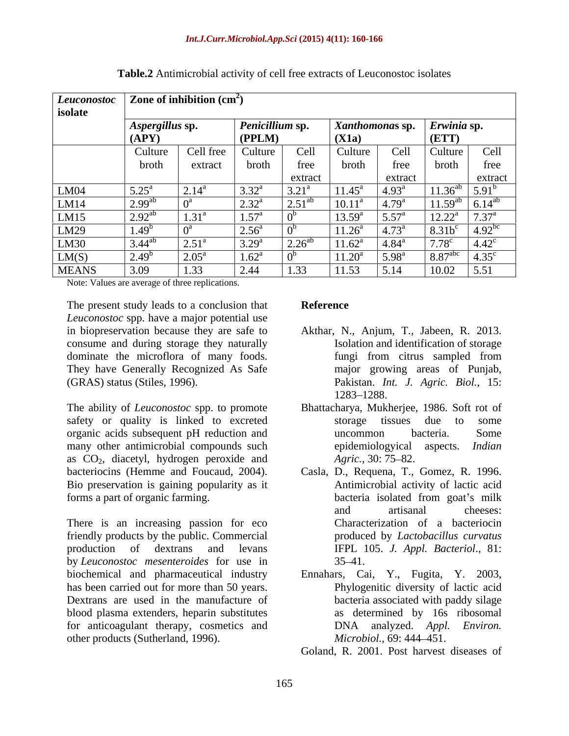| <b>Leuconostoc</b><br>isolate | Zone of inhibition $\text{cm}^2$ )                    |                      |                                  |                 |                              |                                  |                                 |                              |
|-------------------------------|-------------------------------------------------------|----------------------|----------------------------------|-----------------|------------------------------|----------------------------------|---------------------------------|------------------------------|
|                               | Penicillium sp.<br>Aspergillus sp.<br>(PPLM)<br>(APY) |                      | (X1a)                            | Xanthomonas sp. |                              | Erwinia sp.<br>(ETT)             |                                 |                              |
|                               | Culture<br>broth                                      | Cell free<br>extract | Culture<br>broth                 | Cell<br>tree    | Culture<br>broth             | Cell<br>tree                     | Culture<br>broth                | Cell<br>free                 |
|                               |                                                       |                      |                                  | extract         |                              | extract                          |                                 | extract                      |
| LM04                          | $5.25^{\circ}$                                        | $2.14^{a}$           | $3.32^{\circ}$                   | $3.21^{\circ}$  | $11.45^a$                    | $4.93^{\circ}$                   | $11.36^{ab}$                    | $5.91^{\circ}$               |
| LM14<br>LM15                  | $2.99^{a}$<br>$2.92^{ab}$                             | $\pm 21^5$<br>1.J I  | $2.32^{\rm a}$<br>$1.57^{\circ}$ | $2.51^{a}$      | $10.11^a$<br>$13.59^{\rm a}$ | $4.79^{\rm a}$<br>$5.57^{\circ}$ | $11.59^{ab}$<br>$12.22^{\rm a}$ | $6.14^{a}$<br>$7.37^{\rm a}$ |
| LM29                          | 1.49                                                  |                      | $2.56^{\circ}$                   |                 | $11.26^{\circ}$              | $4.73^{\circ}$                   | $8.31b^c$                       | $4.92^{\rm b}$               |
| LM30                          | $3.44^{ab}$                                           | $2.51^{\circ}$       | $3.29^{a}$                       | $2.26^{al}$     | $11.62^a$                    | $4.84^{\rm a}$                   | $7.78^{\circ}$                  | $4.42^{\circ}$               |
| LM(S)                         | 2.49                                                  | $2.05^{\circ}$       | $1.62^a$                         |                 | $11.20^a$                    | 5.98 <sup>a</sup>                | 8.87 <sup>abc</sup>             | 4.35 <sup>c</sup>            |
| <b>MEANS</b>                  | 3.09                                                  | 1.33                 | 2.44                             | 1.33            | 11.53                        | 5.14                             | 10.02                           | 5.51                         |

**Table.2** Antimicrobial activity of cell free extracts of Leuconostoc isolates

Note: Values are average of three replications.

The present study leads to a conclusion that **Reference** *Leuconostoc* spp. have a major potential use in biopreservation because they are safe to Akthar, N., Anjum, T., Jabeen, R. 2013. consume and during storage they naturally dominate the microflora of many foods. The fungi from citrus sampled from They have Generally Recognized As Safe (GRAS) status (Stiles, 1996). (GRAS) status (Stiles, 1996). Pakistan. *Int. J. Agric. Biol.,* 15:

The ability of *Leuconostoc* spp. to promote Bhattacharya, Mukherjee, 1986. Soft rot of safety or quality is linked to excreted storage tissues due to some organic acids subsequent pH reduction and many other antimicrobial compounds such as CO<sub>2</sub>, diacetyl, hydrogen peroxide and *Agric.*, 30: 75–82.<br>bacteriocins (Hemme and Foucaud, 2004). Casla, D., Requena, T., Bio preservation is gaining popularity as it forms a part of organic farming.

There is an increasing passion for eco friendly products by the public. Commercial production of dextrans and levans IFPL 105. *J. Appl. Bacteriol*., 81: by *Leuconostoc mesenteroides* for use in biochemical and pharmaceutical industry Ennahars, Cai, Y., Fugita, Y. 2003, has been carried out for more than 50 years. Dextrans are used in the manufacture of blood plasma extenders, heparin substitutes for anticoagulant therapy, cosmetics and  $DNA$  analyzed. Appl. Environ. other products (Sutherland, 1996). Microbiol., 69: 444–451.

## **Reference**

- Isolation and identification of storage fungi from citrus sampled from major growing areas of Punjab, 1283–1288.
- storage tissues due to some uncommon bacteria. Some epidemiologyical aspects. *Indian Agric.*, 30: 75–82.
- bacteriocins (Hemme and Foucaud, 2004). Casla, D., Requena, T., Gomez, R. 1996. Antimicrobial activity of lactic acid bacteria isolated from goat's milk and artisanal cheeses: Characterization of a bacteriocin produced by *Lactobacillus curvatus*  $35 - 41.$ 
	- Phylogenitic diversity of lactic acid bacteria associated with paddy silage as determined by 16s ribosomal DNA analyzed. *Appl. Environ. Microbiol.,* 69: 444 451.
	- Goland, R. 2001. Post harvest diseases of